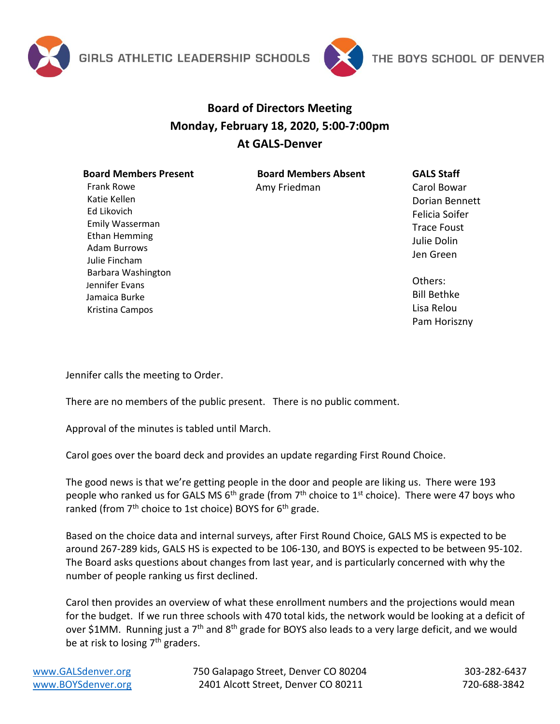



## **Board of Directors Meeting Monday, February 18, 2020, 5:00-7:00pm At GALS-Denver**

## **Board Members Present**

Frank Rowe Katie Kellen Ed Likovich

Emily Wasserman Ethan Hemming Adam Burrows Julie Fincham

Barbara Washington Jennifer Evans Jamaica Burke Kristina Campos

**Board Members Absent** Amy Friedman

## **GALS Staff**

Carol Bowar Dorian Bennett Felicia Soifer Trace Foust Julie Dolin Jen Green

Others: Bill Bethke Lisa Relou Pam Horiszny

Jennifer calls the meeting to Order.

There are no members of the public present. There is no public comment.

Approval of the minutes is tabled until March.

Carol goes over the board deck and provides an update regarding First Round Choice.

The good news is that we're getting people in the door and people are liking us. There were 193 people who ranked us for GALS MS  $6<sup>th</sup>$  grade (from  $7<sup>th</sup>$  choice to  $1<sup>st</sup>$  choice). There were 47 boys who ranked (from  $7<sup>th</sup>$  choice to 1st choice) BOYS for  $6<sup>th</sup>$  grade.

Based on the choice data and internal surveys, after First Round Choice, GALS MS is expected to be around 267-289 kids, GALS HS is expected to be 106-130, and BOYS is expected to be between 95-102. The Board asks questions about changes from last year, and is particularly concerned with why the number of people ranking us first declined.

Carol then provides an overview of what these enrollment numbers and the projections would mean for the budget. If we run three schools with 470 total kids, the network would be looking at a deficit of over \$1MM. Running just a 7<sup>th</sup> and 8<sup>th</sup> grade for BOYS also leads to a very large deficit, and we would be at risk to losing 7<sup>th</sup> graders.

[www.GALSdenver.org](http://www.galsdenver.org/) **750 Galapago Street, Denver CO 80204** 303-282-6437 [www.BOYSdenver.org](http://www.boysdenver.org/) 
and 2401 Alcott Street, Denver CO 80211 1990-688-3842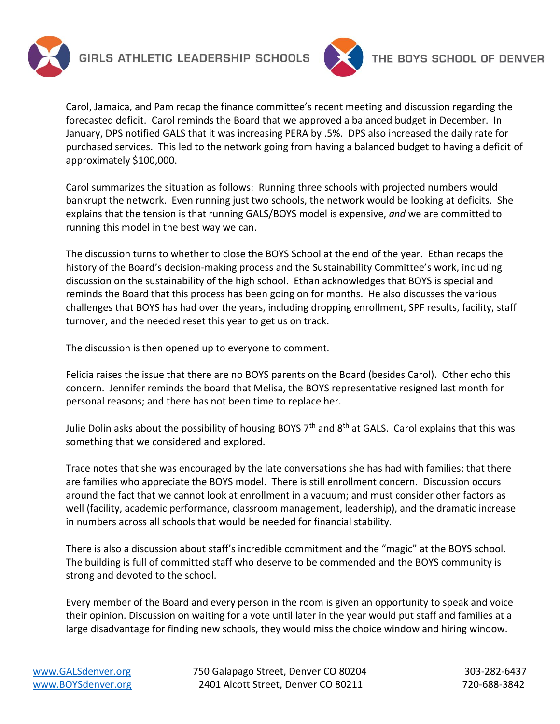

GIRLS ATHLETIC LEADERSHIP SCHOOLS



Carol, Jamaica, and Pam recap the finance committee's recent meeting and discussion regarding the forecasted deficit. Carol reminds the Board that we approved a balanced budget in December. In January, DPS notified GALS that it was increasing PERA by .5%. DPS also increased the daily rate for purchased services. This led to the network going from having a balanced budget to having a deficit of approximately \$100,000.

Carol summarizes the situation as follows: Running three schools with projected numbers would bankrupt the network. Even running just two schools, the network would be looking at deficits. She explains that the tension is that running GALS/BOYS model is expensive, *and* we are committed to running this model in the best way we can.

The discussion turns to whether to close the BOYS School at the end of the year. Ethan recaps the history of the Board's decision-making process and the Sustainability Committee's work, including discussion on the sustainability of the high school. Ethan acknowledges that BOYS is special and reminds the Board that this process has been going on for months. He also discusses the various challenges that BOYS has had over the years, including dropping enrollment, SPF results, facility, staff turnover, and the needed reset this year to get us on track.

The discussion is then opened up to everyone to comment.

Felicia raises the issue that there are no BOYS parents on the Board (besides Carol). Other echo this concern. Jennifer reminds the board that Melisa, the BOYS representative resigned last month for personal reasons; and there has not been time to replace her.

Julie Dolin asks about the possibility of housing BOYS 7<sup>th</sup> and 8<sup>th</sup> at GALS. Carol explains that this was something that we considered and explored.

Trace notes that she was encouraged by the late conversations she has had with families; that there are families who appreciate the BOYS model. There is still enrollment concern. Discussion occurs around the fact that we cannot look at enrollment in a vacuum; and must consider other factors as well (facility, academic performance, classroom management, leadership), and the dramatic increase in numbers across all schools that would be needed for financial stability.

There is also a discussion about staff's incredible commitment and the "magic" at the BOYS school. The building is full of committed staff who deserve to be commended and the BOYS community is strong and devoted to the school.

Every member of the Board and every person in the room is given an opportunity to speak and voice their opinion. Discussion on waiting for a vote until later in the year would put staff and families at a large disadvantage for finding new schools, they would miss the choice window and hiring window.

[www.GALSdenver.org](http://www.galsdenver.org/) **750 Galapago Street, Denver CO 80204** 303-282-6437 [www.BOYSdenver.org](http://www.boysdenver.org/) 2401 Alcott Street, Denver CO 80211 720-688-3842